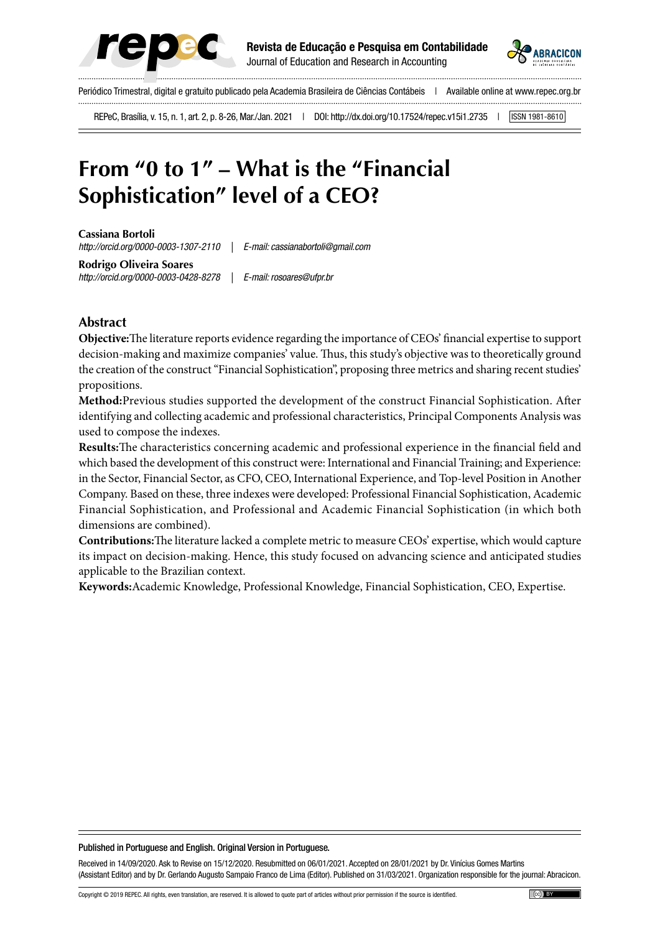



Periódico Trimestral, digital e gratuito publicado pela Academia Brasileira de Ciências Contábeis | Available online at www.repec.org.br

REPeC, Brasília, v. 15, n. 1, art. 2, p. 8-26, Mar./Jan. 2021 | DOI: http://dx.doi.org/10.17524/repec.v15i1.2735 | [ISSN 1981-8610]

# **From "0 to 1" – What is the "Financial Sophistication" level of a CEO?**

**Cassiana Bortoli** *http://orcid.org/0000-0003-1307-2110 | E-mail: cassianabortoli@gmail.com*

**Rodrigo Oliveira Soares** *http://orcid.org/0000-0003-0428-8278 | E-mail: rosoares@ufpr.br*

### **Abstract**

**Objective:**The literature reports evidence regarding the importance of CEOs' financial expertise to support decision-making and maximize companies' value. Thus, this study's objective was to theoretically ground the creation of the construct "Financial Sophistication", proposing three metrics and sharing recent studies' propositions.

**Method:**Previous studies supported the development of the construct Financial Sophistication. After identifying and collecting academic and professional characteristics, Principal Components Analysis was used to compose the indexes.

**Results:**The characteristics concerning academic and professional experience in the financial field and which based the development of this construct were: International and Financial Training; and Experience: in the Sector, Financial Sector, as CFO, CEO, International Experience, and Top-level Position in Another Company. Based on these, three indexes were developed: Professional Financial Sophistication, Academic Financial Sophistication, and Professional and Academic Financial Sophistication (in which both dimensions are combined).

**Contributions:**The literature lacked a complete metric to measure CEOs' expertise, which would capture its impact on decision-making. Hence, this study focused on advancing science and anticipated studies applicable to the Brazilian context.

**Keywords:**Academic Knowledge, Professional Knowledge, Financial Sophistication, CEO, Expertise.

#### Published in Portuguese and English. Original Version in Portuguese.

Received in 14/09/2020. Ask to Revise on 15/12/2020. Resubmitted on 06/01/2021. Accepted on 28/01/2021 by Dr. Vinícius Gomes Martins (Assistant Editor) and by Dr. Gerlando Augusto Sampaio Franco de Lima (Editor). Published on 31/03/2021. Organization responsible for the journal: Abracicon.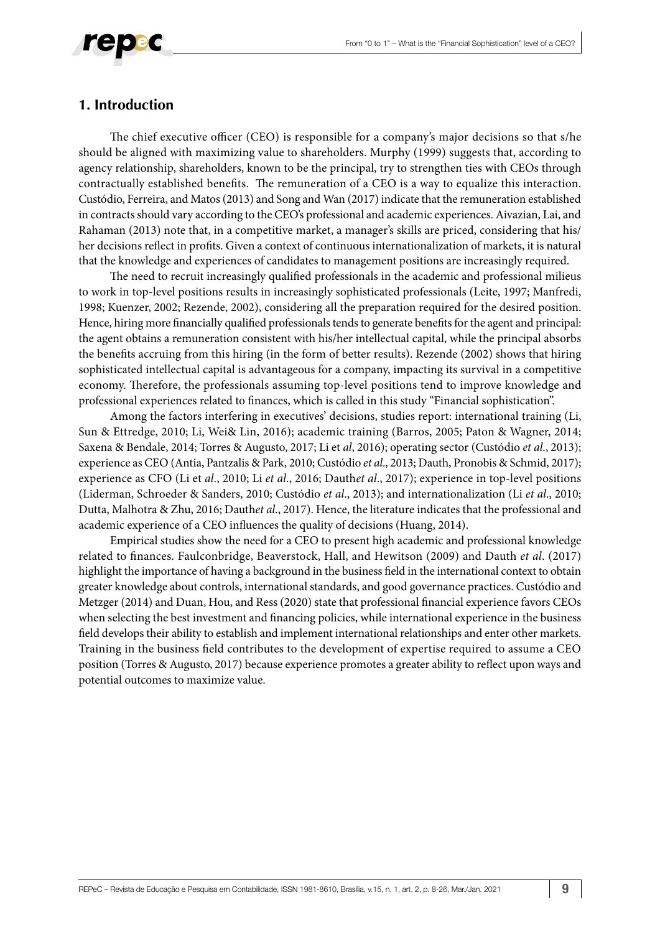

### **1. Introduction**

The chief executive officer (CEO) is responsible for a company's major decisions so that s/he should be aligned with maximizing value to shareholders. Murphy (1999) suggests that, according to agency relationship, shareholders, known to be the principal, try to strengthen ties with CEOs through contractually established benefits. The remuneration of a CEO is a way to equalize this interaction. Custódio, Ferreira, and Matos (2013) and Song and Wan (2017) indicate that the remuneration established in contracts should vary according to the CEO's professional and academic experiences. Aivazian, Lai, and Rahaman (2013) note that, in a competitive market, a manager's skills are priced, considering that his/ her decisions reflect in profits. Given a context of continuous internationalization of markets, it is natural that the knowledge and experiences of candidates to management positions are increasingly required.

The need to recruit increasingly qualified professionals in the academic and professional milieus to work in top-level positions results in increasingly sophisticated professionals (Leite, 1997; Manfredi, 1998; Kuenzer, 2002; Rezende, 2002), considering all the preparation required for the desired position. Hence, hiring more financially qualified professionals tends to generate benefits for the agent and principal: the agent obtains a remuneration consistent with his/her intellectual capital, while the principal absorbs the benefits accruing from this hiring (in the form of better results). Rezende (2002) shows that hiring sophisticated intellectual capital is advantageous for a company, impacting its survival in a competitive economy. Therefore, the professionals assuming top-level positions tend to improve knowledge and professional experiences related to finances, which is called in this study "Financial sophistication".

Among the factors interfering in executives' decisions, studies report: international training (Li, Sun & Ettredge, 2010; Li, Wei& Lin, 2016); academic training (Barros, 2005; Paton & Wagner, 2014; Saxena & Bendale, 2014; Torres & Augusto, 2017; Li et *al*, 2016); operating sector (Custódio *et al*., 2013); experience as CEO (Antia, Pantzalis & Park, 2010; Custódio *et al*., 2013; Dauth, Pronobis & Schmid, 2017); experience as CFO (Li et *al*., 2010; Li *et al*., 2016; Dauth*et al*., 2017); experience in top-level positions (Liderman, Schroeder & Sanders, 2010; Custódio *et al*., 2013); and internationalization (Li *et al*., 2010; Dutta, Malhotra & Zhu, 2016; Dauth*et al*., 2017). Hence, the literature indicates that the professional and academic experience of a CEO influences the quality of decisions (Huang, 2014).

Empirical studies show the need for a CEO to present high academic and professional knowledge related to finances. Faulconbridge, Beaverstock, Hall, and Hewitson (2009) and Dauth *et al*. (2017) highlight the importance of having a background in the business field in the international context to obtain greater knowledge about controls, international standards, and good governance practices. Custódio and Metzger (2014) and Duan, Hou, and Ress (2020) state that professional financial experience favors CEOs when selecting the best investment and financing policies, while international experience in the business field develops their ability to establish and implement international relationships and enter other markets. Training in the business field contributes to the development of expertise required to assume a CEO position (Torres & Augusto, 2017) because experience promotes a greater ability to reflect upon ways and potential outcomes to maximize value.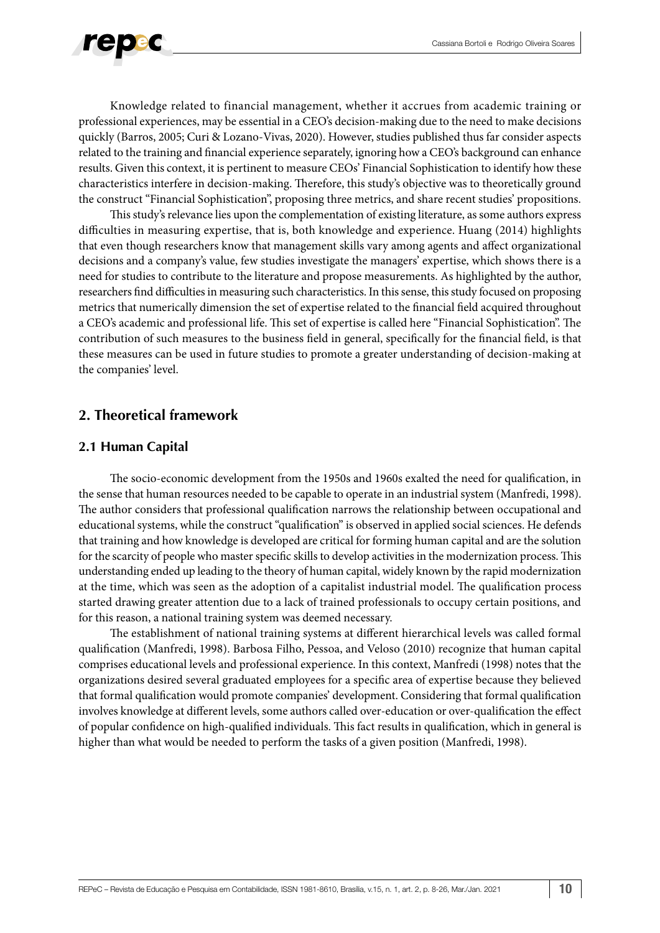

Knowledge related to financial management, whether it accrues from academic training or professional experiences, may be essential in a CEO's decision-making due to the need to make decisions quickly (Barros, 2005; Curi & Lozano-Vivas, 2020). However, studies published thus far consider aspects related to the training and financial experience separately, ignoring how a CEO's background can enhance results. Given this context, it is pertinent to measure CEOs' Financial Sophistication to identify how these characteristics interfere in decision-making. Therefore, this study's objective was to theoretically ground the construct "Financial Sophistication", proposing three metrics, and share recent studies' propositions.

This study's relevance lies upon the complementation of existing literature, as some authors express difficulties in measuring expertise, that is, both knowledge and experience. Huang (2014) highlights that even though researchers know that management skills vary among agents and affect organizational decisions and a company's value, few studies investigate the managers' expertise, which shows there is a need for studies to contribute to the literature and propose measurements. As highlighted by the author, researchers find difficulties in measuring such characteristics. In this sense, this study focused on proposing metrics that numerically dimension the set of expertise related to the financial field acquired throughout a CEO's academic and professional life. This set of expertise is called here "Financial Sophistication". The contribution of such measures to the business field in general, specifically for the financial field, is that these measures can be used in future studies to promote a greater understanding of decision-making at the companies' level.

### **2. Theoretical framework**

### **2.1 Human Capital**

The socio-economic development from the 1950s and 1960s exalted the need for qualification, in the sense that human resources needed to be capable to operate in an industrial system (Manfredi, 1998). The author considers that professional qualification narrows the relationship between occupational and educational systems, while the construct "qualification" is observed in applied social sciences. He defends that training and how knowledge is developed are critical for forming human capital and are the solution for the scarcity of people who master specific skills to develop activities in the modernization process. This understanding ended up leading to the theory of human capital, widely known by the rapid modernization at the time, which was seen as the adoption of a capitalist industrial model. The qualification process started drawing greater attention due to a lack of trained professionals to occupy certain positions, and for this reason, a national training system was deemed necessary.

The establishment of national training systems at different hierarchical levels was called formal qualification (Manfredi, 1998). Barbosa Filho, Pessoa, and Veloso (2010) recognize that human capital comprises educational levels and professional experience. In this context, Manfredi (1998) notes that the organizations desired several graduated employees for a specific area of expertise because they believed that formal qualification would promote companies' development. Considering that formal qualification involves knowledge at different levels, some authors called over-education or over-qualification the effect of popular confidence on high-qualified individuals. This fact results in qualification, which in general is higher than what would be needed to perform the tasks of a given position (Manfredi, 1998).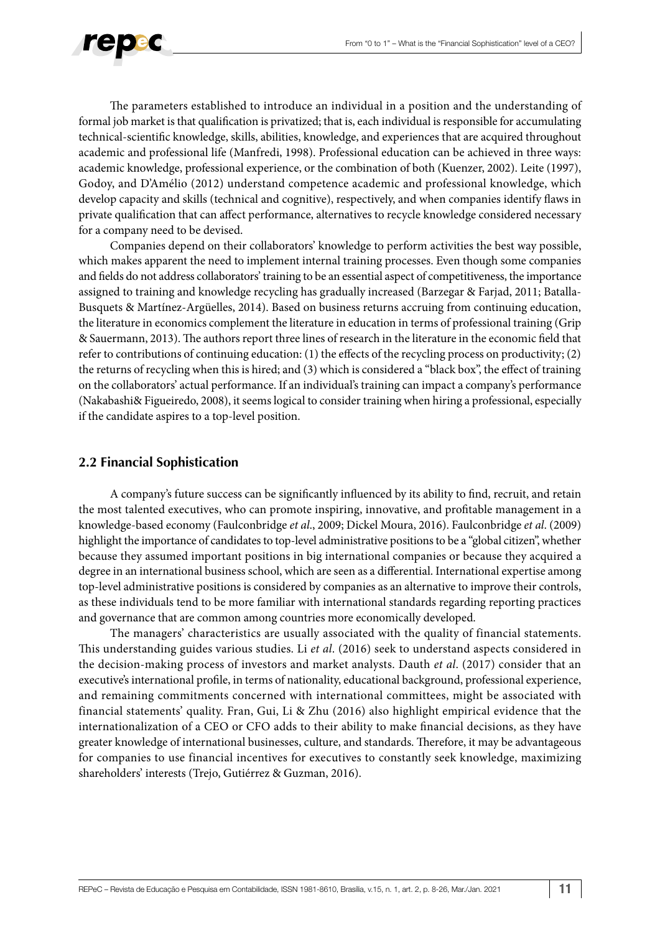

The parameters established to introduce an individual in a position and the understanding of formal job market is that qualification is privatized; that is, each individual is responsible for accumulating technical-scientific knowledge, skills, abilities, knowledge, and experiences that are acquired throughout academic and professional life (Manfredi, 1998). Professional education can be achieved in three ways: academic knowledge, professional experience, or the combination of both (Kuenzer, 2002). Leite (1997), Godoy, and D'Amélio (2012) understand competence academic and professional knowledge, which develop capacity and skills (technical and cognitive), respectively, and when companies identify flaws in private qualification that can affect performance, alternatives to recycle knowledge considered necessary for a company need to be devised.

Companies depend on their collaborators' knowledge to perform activities the best way possible, which makes apparent the need to implement internal training processes. Even though some companies and fields do not address collaborators' training to be an essential aspect of competitiveness, the importance assigned to training and knowledge recycling has gradually increased (Barzegar & Farjad, 2011; Batalla-Busquets & Martínez-Argüelles, 2014). Based on business returns accruing from continuing education, the literature in economics complement the literature in education in terms of professional training (Grip & Sauermann, 2013). The authors report three lines of research in the literature in the economic field that refer to contributions of continuing education: (1) the effects of the recycling process on productivity; (2) the returns of recycling when this is hired; and (3) which is considered a "black box", the effect of training on the collaborators' actual performance. If an individual's training can impact a company's performance (Nakabashi& Figueiredo, 2008), it seems logical to consider training when hiring a professional, especially if the candidate aspires to a top-level position.

### **2.2 Financial Sophistication**

A company's future success can be significantly influenced by its ability to find, recruit, and retain the most talented executives, who can promote inspiring, innovative, and profitable management in a knowledge-based economy (Faulconbridge *et al*., 2009; Dickel Moura, 2016). Faulconbridge *et al*. (2009) highlight the importance of candidates to top-level administrative positions to be a "global citizen", whether because they assumed important positions in big international companies or because they acquired a degree in an international business school, which are seen as a differential. International expertise among top-level administrative positions is considered by companies as an alternative to improve their controls, as these individuals tend to be more familiar with international standards regarding reporting practices and governance that are common among countries more economically developed.

The managers' characteristics are usually associated with the quality of financial statements. This understanding guides various studies. Li *et al*. (2016) seek to understand aspects considered in the decision-making process of investors and market analysts. Dauth *et al*. (2017) consider that an executive's international profile, in terms of nationality, educational background, professional experience, and remaining commitments concerned with international committees, might be associated with financial statements' quality. Fran, Gui, Li & Zhu (2016) also highlight empirical evidence that the internationalization of a CEO or CFO adds to their ability to make financial decisions, as they have greater knowledge of international businesses, culture, and standards. Therefore, it may be advantageous for companies to use financial incentives for executives to constantly seek knowledge, maximizing shareholders' interests (Trejo, Gutiérrez & Guzman, 2016).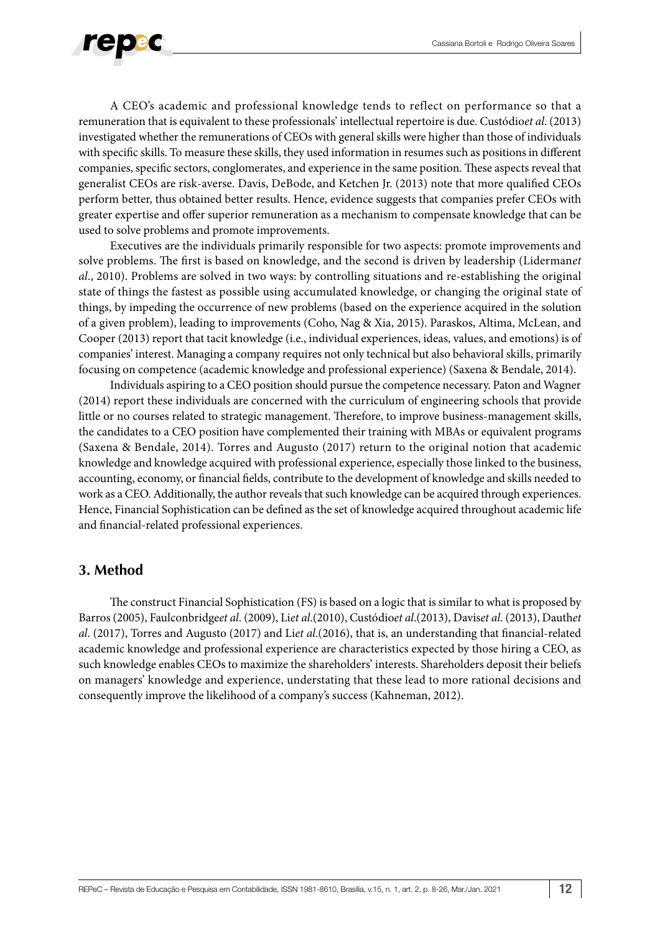

A CEO's academic and professional knowledge tends to reflect on performance so that a remuneration that is equivalent to these professionals' intellectual repertoire is due. Custódio*et al*. (2013) investigated whether the remunerations of CEOs with general skills were higher than those of individuals with specific skills. To measure these skills, they used information in resumes such as positions in different companies, specific sectors, conglomerates, and experience in the same position. These aspects reveal that generalist CEOs are risk-averse. Davis, DeBode, and Ketchen Jr. (2013) note that more qualified CEOs perform better, thus obtained better results. Hence, evidence suggests that companies prefer CEOs with greater expertise and offer superior remuneration as a mechanism to compensate knowledge that can be used to solve problems and promote improvements.

Executives are the individuals primarily responsible for two aspects: promote improvements and solve problems. The first is based on knowledge, and the second is driven by leadership (Liderman*et al*., 2010). Problems are solved in two ways: by controlling situations and re-establishing the original state of things the fastest as possible using accumulated knowledge, or changing the original state of things, by impeding the occurrence of new problems (based on the experience acquired in the solution of a given problem), leading to improvements (Coho, Nag & Xia, 2015). Paraskos, Altima, McLean, and Cooper (2013) report that tacit knowledge (i.e., individual experiences, ideas, values, and emotions) is of companies' interest. Managing a company requires not only technical but also behavioral skills, primarily focusing on competence (academic knowledge and professional experience) (Saxena & Bendale, 2014).

Individuals aspiring to a CEO position should pursue the competence necessary. Paton and Wagner (2014) report these individuals are concerned with the curriculum of engineering schools that provide little or no courses related to strategic management. Therefore, to improve business-management skills, the candidates to a CEO position have complemented their training with MBAs or equivalent programs (Saxena & Bendale, 2014). Torres and Augusto (2017) return to the original notion that academic knowledge and knowledge acquired with professional experience, especially those linked to the business, accounting, economy, or financial fields, contribute to the development of knowledge and skills needed to work as a CEO. Additionally, the author reveals that such knowledge can be acquired through experiences. Hence, Financial Sophistication can be defined as the set of knowledge acquired throughout academic life and financial-related professional experiences.

### **3. Method**

The construct Financial Sophistication (FS) is based on a logic that is similar to what is proposed by Barros (2005), Faulconbridge*et al*. (2009), Li*et al*.(2010), Custódio*et al*.(2013), Davis*et al*. (2013), Dauth*et al*. (2017), Torres and Augusto (2017) and Li*et al*.(2016), that is, an understanding that financial-related academic knowledge and professional experience are characteristics expected by those hiring a CEO, as such knowledge enables CEOs to maximize the shareholders' interests. Shareholders deposit their beliefs on managers' knowledge and experience, understating that these lead to more rational decisions and consequently improve the likelihood of a company's success (Kahneman, 2012).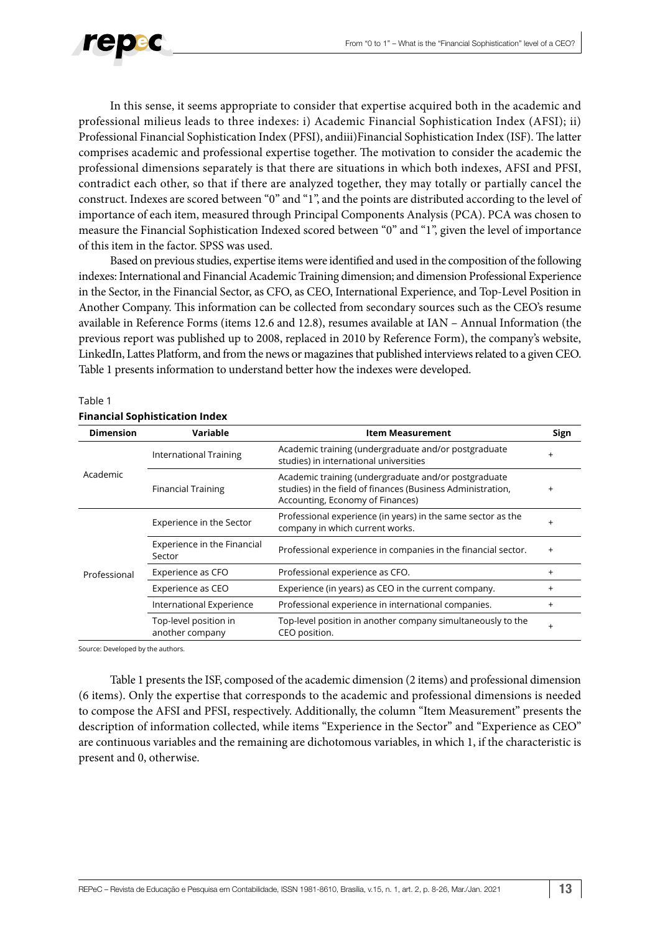

In this sense, it seems appropriate to consider that expertise acquired both in the academic and professional milieus leads to three indexes: i) Academic Financial Sophistication Index (AFSI); ii) Professional Financial Sophistication Index (PFSI), andiii)Financial Sophistication Index (ISF). The latter comprises academic and professional expertise together. The motivation to consider the academic the professional dimensions separately is that there are situations in which both indexes, AFSI and PFSI, contradict each other, so that if there are analyzed together, they may totally or partially cancel the construct. Indexes are scored between "0" and "1", and the points are distributed according to the level of importance of each item, measured through Principal Components Analysis (PCA). PCA was chosen to measure the Financial Sophistication Indexed scored between "0" and "1", given the level of importance of this item in the factor. SPSS was used.

Based on previous studies, expertise items were identified and used in the composition of the following indexes: International and Financial Academic Training dimension; and dimension Professional Experience in the Sector, in the Financial Sector, as CFO, as CEO, International Experience, and Top-Level Position in Another Company. This information can be collected from secondary sources such as the CEO's resume available in Reference Forms (items 12.6 and 12.8), resumes available at IAN – Annual Information (the previous report was published up to 2008, replaced in 2010 by Reference Form), the company's website, LinkedIn, Lattes Platform, and from the news or magazines that published interviews related to a given CEO. Table 1 presents information to understand better how the indexes were developed.

#### Table 1 **Financial Sophistication Index**

| <b>Dimension</b> | Variable                                 | <b>Item Measurement</b>                                                                                                                                 | Sign      |  |  |  |  |
|------------------|------------------------------------------|---------------------------------------------------------------------------------------------------------------------------------------------------------|-----------|--|--|--|--|
|                  | <b>International Training</b>            | Academic training (undergraduate and/or postgraduate<br>studies) in international universities                                                          | $\ddot{}$ |  |  |  |  |
| Academic         | <b>Financial Training</b>                | Academic training (undergraduate and/or postgraduate<br>studies) in the field of finances (Business Administration,<br>Accounting, Economy of Finances) | $\ddot{}$ |  |  |  |  |
|                  | Experience in the Sector                 | Professional experience (in years) in the same sector as the<br>company in which current works.                                                         |           |  |  |  |  |
|                  | Experience in the Financial<br>Sector    | Professional experience in companies in the financial sector.                                                                                           | $\ddot{}$ |  |  |  |  |
| Professional     | Experience as CFO                        | Professional experience as CFO.                                                                                                                         | $\ddot{}$ |  |  |  |  |
|                  | Experience as CEO                        | Experience (in years) as CEO in the current company.                                                                                                    | $\ddot{}$ |  |  |  |  |
|                  | International Experience                 | Professional experience in international companies.                                                                                                     | $^{+}$    |  |  |  |  |
|                  | Top-level position in<br>another company | Top-level position in another company simultaneously to the<br>CEO position.                                                                            | $^{+}$    |  |  |  |  |

Source: Developed by the authors.

Table 1 presents the ISF, composed of the academic dimension (2 items) and professional dimension (6 items). Only the expertise that corresponds to the academic and professional dimensions is needed to compose the AFSI and PFSI, respectively. Additionally, the column "Item Measurement" presents the description of information collected, while items "Experience in the Sector" and "Experience as CEO" are continuous variables and the remaining are dichotomous variables, in which 1, if the characteristic is present and 0, otherwise.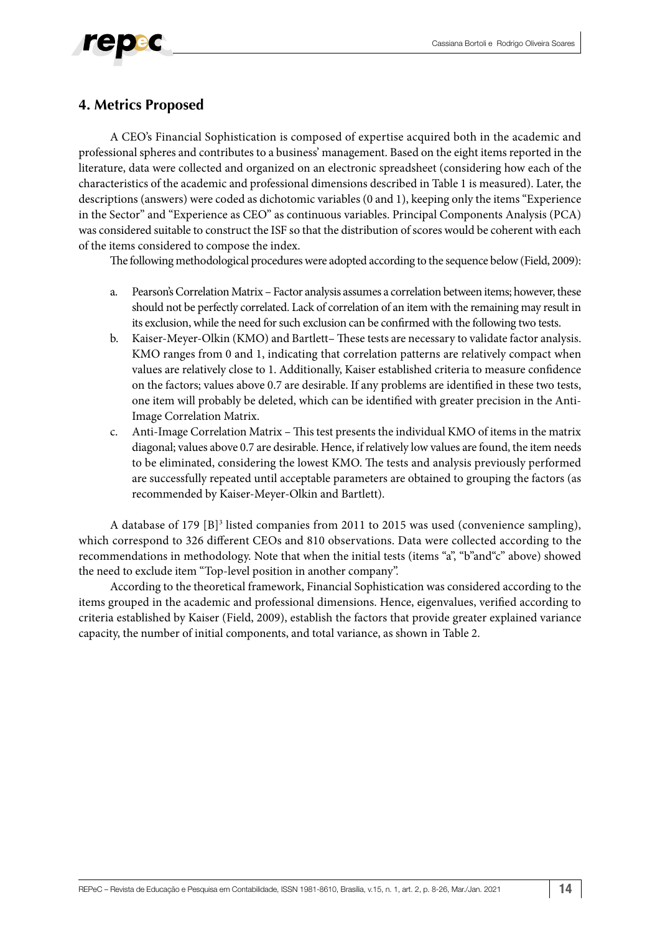## **4. Metrics Proposed**

A CEO's Financial Sophistication is composed of expertise acquired both in the academic and professional spheres and contributes to a business' management. Based on the eight items reported in the literature, data were collected and organized on an electronic spreadsheet (considering how each of the characteristics of the academic and professional dimensions described in Table 1 is measured). Later, the descriptions (answers) were coded as dichotomic variables (0 and 1), keeping only the items "Experience in the Sector" and "Experience as CEO" as continuous variables. Principal Components Analysis (PCA) was considered suitable to construct the ISF so that the distribution of scores would be coherent with each of the items considered to compose the index.

The following methodological procedures were adopted according to the sequence below (Field, 2009):

- a. Pearson's Correlation Matrix Factor analysis assumes a correlation between items; however, these should not be perfectly correlated. Lack of correlation of an item with the remaining may result in its exclusion, while the need for such exclusion can be confirmed with the following two tests.
- b. Kaiser-Meyer-Olkin (KMO) and Bartlett– These tests are necessary to validate factor analysis. KMO ranges from 0 and 1, indicating that correlation patterns are relatively compact when values are relatively close to 1. Additionally, Kaiser established criteria to measure confidence on the factors; values above 0.7 are desirable. If any problems are identified in these two tests, one item will probably be deleted, which can be identified with greater precision in the Anti-Image Correlation Matrix.
- c. Anti-Image Correlation Matrix This test presents the individual KMO of items in the matrix diagonal; values above 0.7 are desirable. Hence, if relatively low values are found, the item needs to be eliminated, considering the lowest KMO. The tests and analysis previously performed are successfully repeated until acceptable parameters are obtained to grouping the factors (as recommended by Kaiser-Meyer-Olkin and Bartlett).

A database of 179 [B]<sup>3</sup> listed companies from 2011 to 2015 was used (convenience sampling), which correspond to 326 different CEOs and 810 observations. Data were collected according to the recommendations in methodology. Note that when the initial tests (items "a", "b"and"c" above) showed the need to exclude item "Top-level position in another company".

According to the theoretical framework, Financial Sophistication was considered according to the items grouped in the academic and professional dimensions. Hence, eigenvalues, verified according to criteria established by Kaiser (Field, 2009), establish the factors that provide greater explained variance capacity, the number of initial components, and total variance, as shown in Table 2.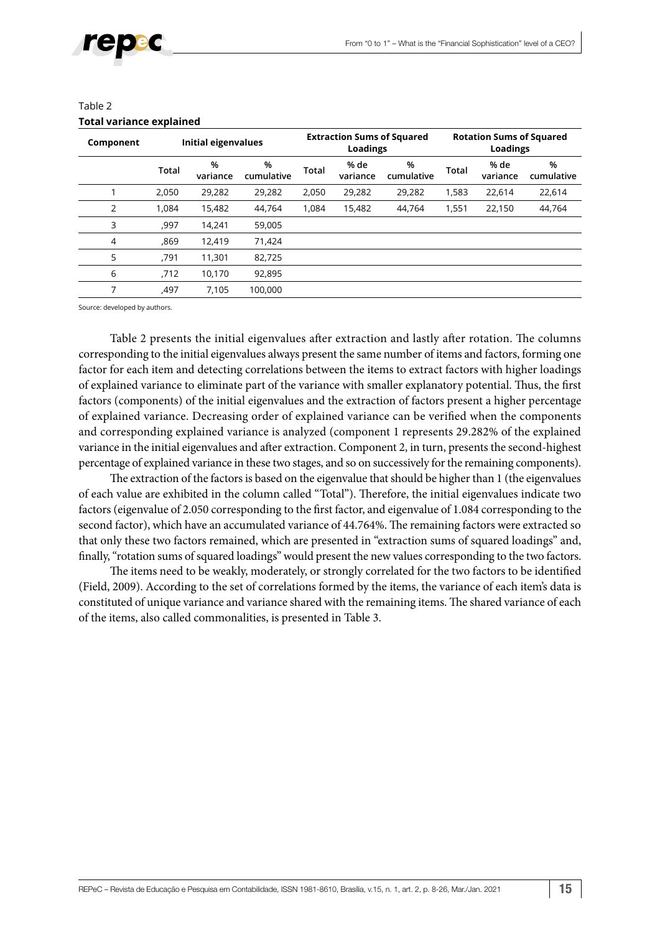| Component |       | Initial eigenvalues |                 |              | <b>Extraction Sums of Squared</b><br>Loadings |                 | <b>Rotation Sums of Squared</b><br><b>Loadings</b> |                  |                 |  |
|-----------|-------|---------------------|-----------------|--------------|-----------------------------------------------|-----------------|----------------------------------------------------|------------------|-----------------|--|
|           | Total | %<br>variance       | %<br>cumulative | <b>Total</b> | % de<br>variance                              | %<br>cumulative | <b>Total</b>                                       | % de<br>variance | %<br>cumulative |  |
|           | 2.050 | 29,282              | 29.282          | 2.050        | 29,282                                        | 29.282          | 1,583                                              | 22.614           | 22.614          |  |
| 2         | 1.084 | 15,482              | 44.764          | 1.084        | 15,482                                        | 44,764          | 1,551                                              | 22,150           | 44,764          |  |
| 3         | ,997  | 14.241              | 59,005          |              |                                               |                 |                                                    |                  |                 |  |
| 4         | ,869  | 12,419              | 71,424          |              |                                               |                 |                                                    |                  |                 |  |
| 5         | ,791  | 11,301              | 82,725          |              |                                               |                 |                                                    |                  |                 |  |
| 6         | ,712  | 10,170              | 92,895          |              |                                               |                 |                                                    |                  |                 |  |
| 7         | ,497  | 7.105               | 100,000         |              |                                               |                 |                                                    |                  |                 |  |
|           |       |                     |                 |              |                                               |                 |                                                    |                  |                 |  |

### Table 2 **Total variance explained**

Source: developed by authors.

Table 2 presents the initial eigenvalues after extraction and lastly after rotation. The columns corresponding to the initial eigenvalues always present the same number of items and factors, forming one factor for each item and detecting correlations between the items to extract factors with higher loadings of explained variance to eliminate part of the variance with smaller explanatory potential. Thus, the first factors (components) of the initial eigenvalues and the extraction of factors present a higher percentage of explained variance. Decreasing order of explained variance can be verified when the components and corresponding explained variance is analyzed (component 1 represents 29.282% of the explained variance in the initial eigenvalues and after extraction. Component 2, in turn, presents the second-highest percentage of explained variance in these two stages, and so on successively for the remaining components).

The extraction of the factors is based on the eigenvalue that should be higher than 1 (the eigenvalues of each value are exhibited in the column called "Total"). Therefore, the initial eigenvalues indicate two factors (eigenvalue of 2.050 corresponding to the first factor, and eigenvalue of 1.084 corresponding to the second factor), which have an accumulated variance of 44.764%. The remaining factors were extracted so that only these two factors remained, which are presented in "extraction sums of squared loadings" and, finally, "rotation sums of squared loadings" would present the new values corresponding to the two factors.

The items need to be weakly, moderately, or strongly correlated for the two factors to be identified (Field, 2009). According to the set of correlations formed by the items, the variance of each item's data is constituted of unique variance and variance shared with the remaining items. The shared variance of each of the items, also called commonalities, is presented in Table 3.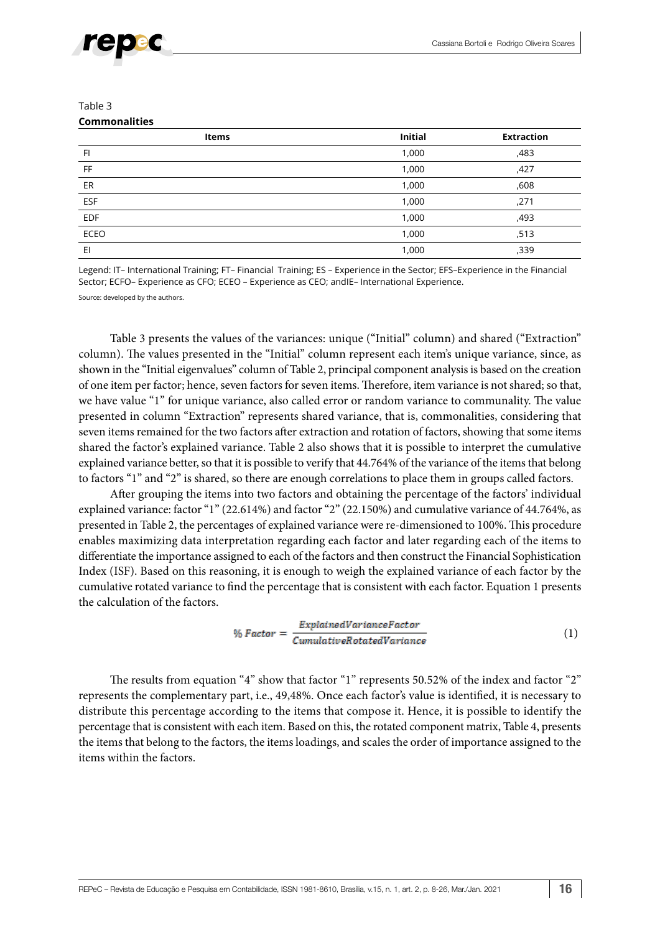

#### Table 3 **Commonalities**

| Items       | <b>Initial</b> | <b>Extraction</b> |
|-------------|----------------|-------------------|
| FI          | 1,000          | ,483              |
| FF          | 1,000          | ,427              |
| ER          | 1,000          | ,608              |
| <b>ESF</b>  | 1,000          | ,271              |
| <b>EDF</b>  | 1,000          | ,493              |
| <b>ECEO</b> | 1,000          | ,513              |
| EI          | 1,000          | ,339              |

Legend: IT– International Training; FT– Financial Training; ES – Experience in the Sector; EFS–Experience in the Financial Sector; ECFO– Experience as CFO; ECEO – Experience as CEO; andIE– International Experience.

Source: developed by the authors.

Table 3 presents the values of the variances: unique ("Initial" column) and shared ("Extraction" column). The values presented in the "Initial" column represent each item's unique variance, since, as shown in the "Initial eigenvalues" column of Table 2, principal component analysis is based on the creation of one item per factor; hence, seven factors for seven items. Therefore, item variance is not shared; so that, we have value "1" for unique variance, also called error or random variance to communality. The value presented in column "Extraction" represents shared variance, that is, commonalities, considering that seven items remained for the two factors after extraction and rotation of factors, showing that some items shared the factor's explained variance. Table 2 also shows that it is possible to interpret the cumulative explained variance better, so that it is possible to verify that 44.764% of the variance of the items that belong to factors "1" and "2" is shared, so there are enough correlations to place them in groups called factors.

After grouping the items into two factors and obtaining the percentage of the factors' individual explained variance: factor "1" (22.614%) and factor "2" (22.150%) and cumulative variance of 44.764%, as presented in Table 2, the percentages of explained variance were re-dimensioned to 100%. This procedure enables maximizing data interpretation regarding each factor and later regarding each of the items to differentiate the importance assigned to each of the factors and then construct the Financial Sophistication Index (ISF). Based on this reasoning, it is enough to weigh the explained variance of each factor by the cumulative rotated variance to find the percentage that is consistent with each factor. Equation 1 presents the calculation of the factors.

$$
\% Factor = \frac{ExplainedVarianceFactor}{CumulativeRotatedVariance} \tag{1}
$$

The results from equation "4" show that factor "1" represents 50.52% of the index and factor "2" represents the complementary part, i.e., 49,48%. Once each factor's value is identified, it is necessary to distribute this percentage according to the items that compose it. Hence, it is possible to identify the percentage that is consistent with each item. Based on this, the rotated component matrix, Table 4, presents the items that belong to the factors, the items loadings, and scales the order of importance assigned to the items within the factors.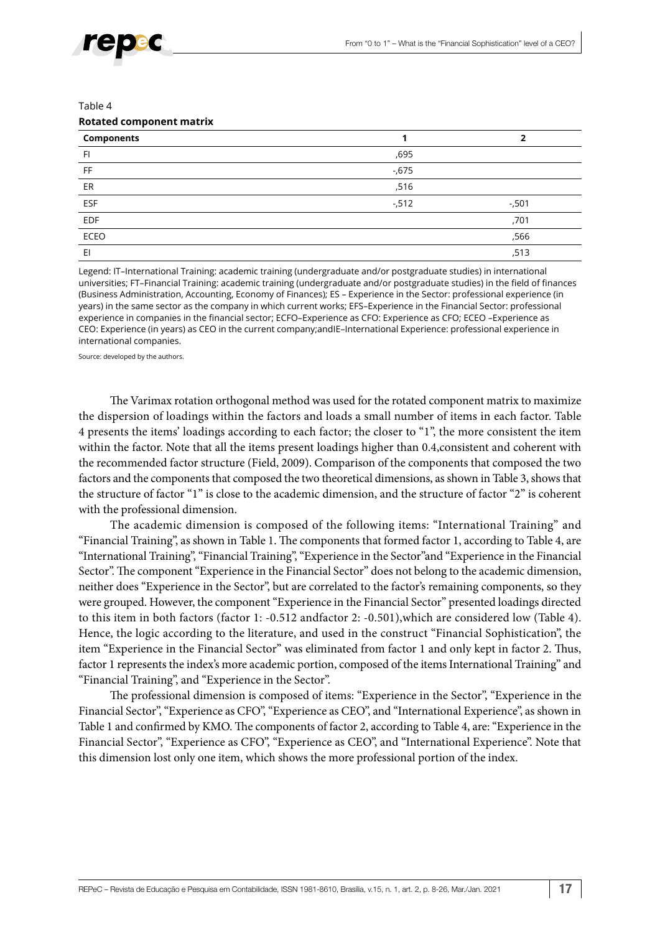Table 4

#### **Rotated component matrix**

| Components     |          |          |
|----------------|----------|----------|
| F <sub>1</sub> | ,695     |          |
| <b>FF</b>      | $-675$   |          |
| ER             | ,516     |          |
| ESF            | $-0.512$ | $-0.501$ |
| <b>EDF</b>     |          | ,701     |
| <b>ECEO</b>    |          | ,566     |
| EI             |          | ,513     |

Legend: IT–International Training: academic training (undergraduate and/or postgraduate studies) in international universities; FT–Financial Training: academic training (undergraduate and/or postgraduate studies) in the field of finances (Business Administration, Accounting, Economy of Finances); ES – Experience in the Sector: professional experience (in years) in the same sector as the company in which current works; EFS–Experience in the Financial Sector: professional experience in companies in the financial sector; ECFO–Experience as CFO: Experience as CFO; ECEO –Experience as CEO: Experience (in years) as CEO in the current company;andIE–International Experience: professional experience in international companies.

Source: developed by the authors.

The Varimax rotation orthogonal method was used for the rotated component matrix to maximize the dispersion of loadings within the factors and loads a small number of items in each factor. Table 4 presents the items' loadings according to each factor; the closer to "1", the more consistent the item within the factor. Note that all the items present loadings higher than 0.4,consistent and coherent with the recommended factor structure (Field, 2009). Comparison of the components that composed the two factors and the components that composed the two theoretical dimensions, as shown in Table 3, shows that the structure of factor "1" is close to the academic dimension, and the structure of factor "2" is coherent with the professional dimension.

The academic dimension is composed of the following items: "International Training" and "Financial Training", as shown in Table 1. The components that formed factor 1, according to Table 4, are "International Training", "Financial Training", "Experience in the Sector"and "Experience in the Financial Sector". The component "Experience in the Financial Sector" does not belong to the academic dimension, neither does "Experience in the Sector", but are correlated to the factor's remaining components, so they were grouped. However, the component "Experience in the Financial Sector" presented loadings directed to this item in both factors (factor 1: -0.512 andfactor 2: -0.501),which are considered low (Table 4). Hence, the logic according to the literature, and used in the construct "Financial Sophistication", the item "Experience in the Financial Sector" was eliminated from factor 1 and only kept in factor 2. Thus, factor 1 represents the index's more academic portion, composed of the items International Training" and "Financial Training", and "Experience in the Sector".

The professional dimension is composed of items: "Experience in the Sector", "Experience in the Financial Sector", "Experience as CFO", "Experience as CEO", and "International Experience", as shown in Table 1 and confirmed by KMO. The components of factor 2, according to Table 4, are: "Experience in the Financial Sector", "Experience as CFO", "Experience as CEO", and "International Experience". Note that this dimension lost only one item, which shows the more professional portion of the index.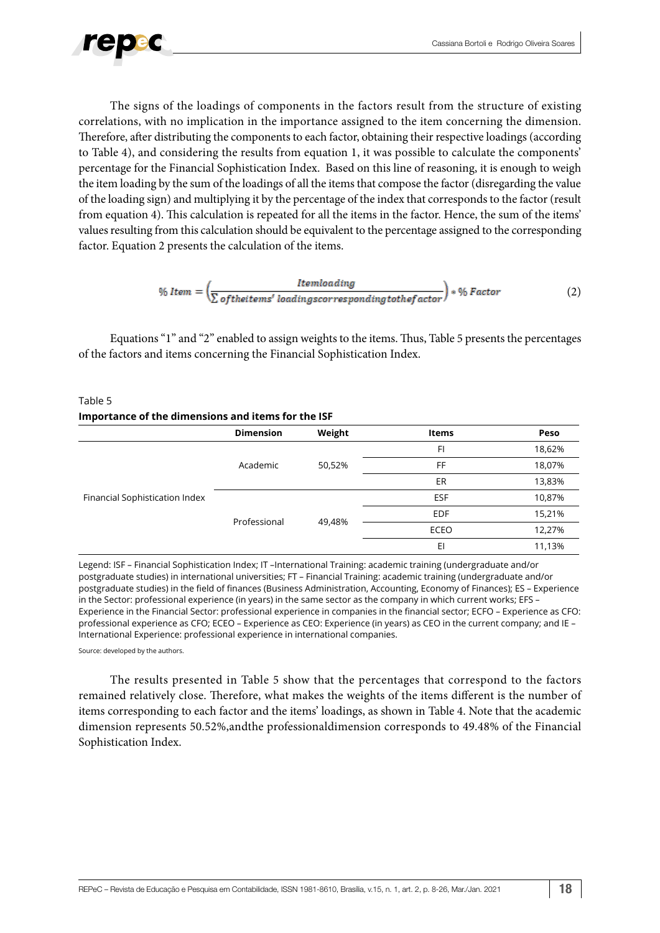

The signs of the loadings of components in the factors result from the structure of existing correlations, with no implication in the importance assigned to the item concerning the dimension. Therefore, after distributing the components to each factor, obtaining their respective loadings (according to Table 4), and considering the results from equation 1, it was possible to calculate the components' percentage for the Financial Sophistication Index. Based on this line of reasoning, it is enough to weigh the item loading by the sum of the loadings of all the items that compose the factor (disregarding the value of the loading sign) and multiplying it by the percentage of the index that corresponds to the factor (result from equation 4). This calculation is repeated for all the items in the factor. Hence, the sum of the items' values resulting from this calculation should be equivalent to the percentage assigned to the corresponding factor. Equation 2 presents the calculation of the items.

$$
\% \, Item = \left(\frac{Itemloading}{\sum of the items' loadings corresponding to the factor}\right) * \% Factor \tag{2}
$$

Equations "1" and "2" enabled to assign weights to the items. Thus, Table 5 presents the percentages of the factors and items concerning the Financial Sophistication Index.

#### Table 5 **Importance of the dimensions and items for the ISF**

|                                | <b>Dimension</b> | Weight | <b>Items</b> | Peso   |
|--------------------------------|------------------|--------|--------------|--------|
|                                |                  |        | FI           | 18,62% |
|                                | Academic         | 50,52% | FF           | 18,07% |
|                                |                  |        | ER           | 13,83% |
| Financial Sophistication Index |                  |        | ESF          | 10,87% |
|                                | Professional     |        | <b>EDF</b>   | 15,21% |
|                                |                  | 49,48% | <b>ECEO</b>  | 12,27% |
|                                |                  |        | EI           | 11,13% |

Legend: ISF – Financial Sophistication Index; IT –International Training: academic training (undergraduate and/or postgraduate studies) in international universities; FT – Financial Training: academic training (undergraduate and/or postgraduate studies) in the field of finances (Business Administration, Accounting, Economy of Finances); ES – Experience in the Sector: professional experience (in years) in the same sector as the company in which current works; EFS – Experience in the Financial Sector: professional experience in companies in the financial sector; ECFO – Experience as CFO: professional experience as CFO; ECEO – Experience as CEO: Experience (in years) as CEO in the current company; and IE – International Experience: professional experience in international companies.

Source: developed by the authors.

The results presented in Table 5 show that the percentages that correspond to the factors remained relatively close. Therefore, what makes the weights of the items different is the number of items corresponding to each factor and the items' loadings, as shown in Table 4. Note that the academic dimension represents 50.52%,andthe professionaldimension corresponds to 49.48% of the Financial Sophistication Index.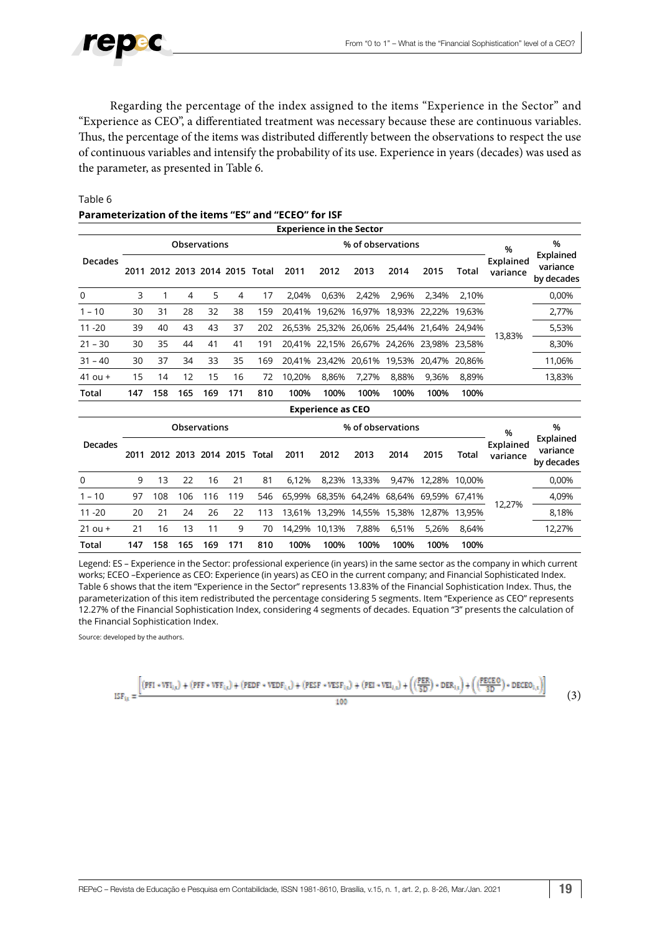

Regarding the percentage of the index assigned to the items "Experience in the Sector" and "Experience as CEO", a differentiated treatment was necessary because these are continuous variables. Thus, the percentage of the items was distributed differently between the observations to respect the use of continuous variables and intensify the probability of its use. Experience in years (decades) was used as the parameter, as presented in Table 6.

| <b>Experience in the Sector</b> |                     |     |     |     |                           |                                |        |                          |        |               |        |              |                       |                                     |
|---------------------------------|---------------------|-----|-----|-----|---------------------------|--------------------------------|--------|--------------------------|--------|---------------|--------|--------------|-----------------------|-------------------------------------|
|                                 | <b>Observations</b> |     |     |     |                           |                                |        | % of observations        |        |               |        |              |                       | %                                   |
| <b>Decades</b>                  |                     |     |     |     |                           | 2011 2012 2013 2014 2015 Total | 2011   | 2012                     | 2013   | 2014          | 2015   | Total        | Explained<br>variance | Explained<br>variance<br>by decades |
| $\mathbf 0$                     | 3                   | 1   | 4   | 5   | 4                         | 17                             | 2,04%  | 0,63%                    | 2,42%  | 2,96%         | 2,34%  | 2,10%        |                       | 0.00%                               |
| $1 - 10$                        | 30                  | 31  | 28  | 32  | 38                        | 159                            | 20.41% | 19,62%                   | 16,97% | 18,93%        | 22,22% | 19.63%       | 13,83%                | 2,77%                               |
| $11 - 20$                       | 39                  | 40  | 43  | 43  | 37                        | 202                            | 26,53% | 25,32%                   |        | 26,06% 25,44% | 21.64% | 24.94%       |                       | 5,53%                               |
| $21 - 30$                       | 30                  | 35  | 44  | 41  | 41                        | 191                            | 20.41% | 22.15%                   |        | 26,67% 24,26% | 23.98% | 23,58%       |                       | 8,30%                               |
| $31 - 40$                       | 30                  | 37  | 34  | 33  | 35                        | 169                            | 20.41% | 23,42%                   |        | 20,61% 19,53% | 20,47% | 20.86%       |                       | 11,06%                              |
| $41$ ou +                       | 15                  | 14  | 12  | 15  | 16                        | 72                             | 10.20% | 8.86%                    | 7,27%  | 8,88%         | 9,36%  | 8,89%        |                       | 13,83%                              |
| Total                           | 147                 | 158 | 165 | 169 | 171                       | 810                            | 100%   | 100%                     | 100%   | 100%          | 100%   | 100%         |                       |                                     |
|                                 |                     |     |     |     |                           |                                |        | <b>Experience as CEO</b> |        |               |        |              |                       |                                     |
|                                 | <b>Observations</b> |     |     |     |                           |                                |        | % of observations        |        |               |        |              | %                     | %                                   |
| <b>Decades</b>                  | 2011                |     |     |     | 2012 2013 2014 2015 Total |                                | 2011   | 2012                     | 2013   | 2014          | 2015   | <b>Total</b> | Explained<br>variance | Explained<br>variance<br>by decades |
| $\Omega$                        | 9                   | 13  | 22  | 16  | 21                        | 81                             | 6,12%  | 8,23%                    | 13,33% | 9,47%         | 12,28% | 10,00%       |                       | 0,00%                               |
| $1 - 10$                        | 97                  | 108 | 106 | 116 | 119                       | 546                            | 65,99% | 68,35%                   | 64,24% | 68,64%        | 69,59% | 67.41%       | 12,27%                | 4,09%                               |
| $11 - 20$                       | 20                  | 21  | 24  | 26  | 22                        | 113                            | 13.61% | 13.29%                   | 14,55% | 15.38%        | 12,87% | 13.95%       |                       | 8,18%                               |
| $21$ ou +                       | 21                  | 16  | 13  | 11  | 9                         | 70                             | 14,29% | 10,13%                   | 7,88%  | 6,51%         | 5,26%  | 8,64%        |                       | 12,27%                              |
| Total                           | 147                 | 158 | 165 | 169 | 171                       | 810                            | 100%   | 100%                     | 100%   | 100%          | 100%   | 100%         |                       |                                     |

### Table 6 **Parameterization of the items "ES" and "ECEO" for ISF**

Legend: ES – Experience in the Sector: professional experience (in years) in the same sector as the company in which current works; ECEO –Experience as CEO: Experience (in years) as CEO in the current company; and Financial Sophisticated Index. Table 6 shows that the item "Experience in the Sector" represents 13.83% of the Financial Sophistication Index. Thus, the parameterization of this item redistributed the percentage considering 5 segments. Item "Experience as CEO" represents 12.27% of the Financial Sophistication Index, considering 4 segments of decades. Equation "3" presents the calculation of the Financial Sophistication Index.

Source: developed by the authors.

$$
ISF_{ijx} = \frac{\left[ (PFI * VFI_{ijx}) + (PFF * VFF_{ijx}) + (PEDF * VEDF_{ijx}) + (PESP * VESP_{ijx}) + (PEI * VEI_{ijx}) + ((\frac{PEE}{5D}) * DER_{ijx}) \right] + ((\frac{PECEO}{3D}) * DECEO_{ijx}) \right]}{100}
$$
(3)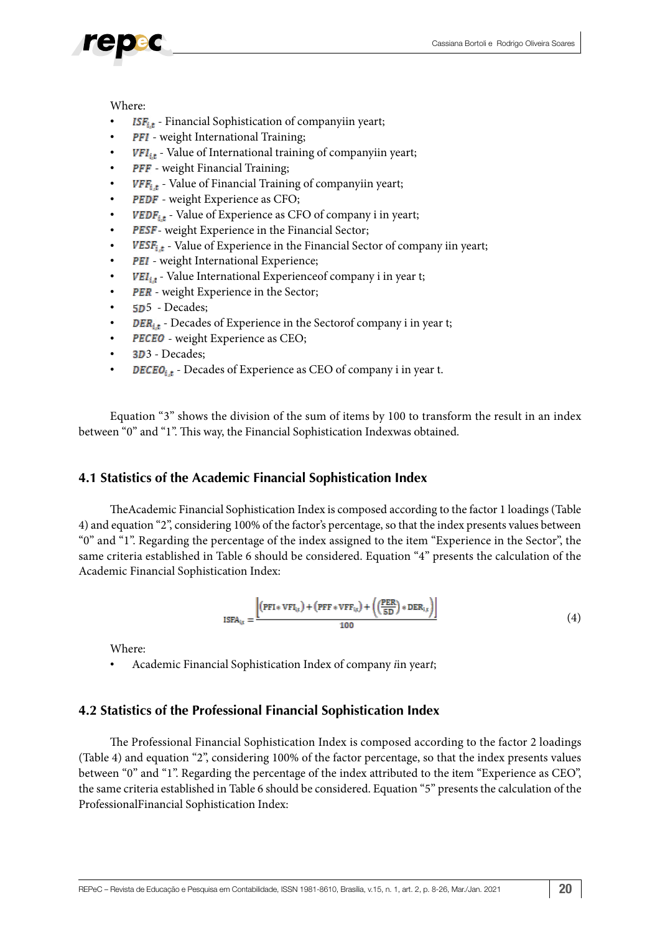### Where:

- **ISF**<sub>i.t</sub> Financial Sophistication of companyiin yeart;
- **PFI** weight International Training;
- **Value of International training of companyiin yeart;**
- **PFF** weight Financial Training;
- $VFF_{i,t}$  Value of Financial Training of companyiin yeart;
- PEDF weight Experience as CFO;
- **VEDF**<sub>it</sub> Value of Experience as CFO of company i in yeart;
- PESF- weight Experience in the Financial Sector;
- $VESE_{i,t}$  Value of Experience in the Financial Sector of company iin yeart;
- PEI weight International Experience;
- ${\pmb{\textit{VEL}}}_{i,t}$  Value International Experience<br>of company i in year t;
- PER weight Experience in the Sector;
- 5D<sub>5</sub> Decades;
- $\overline{DER}_{i.t}$  Decades of Experience in the Sectorof company i in year t;
- **PECEO** weight Experience as CEO;
- 3D<sub>3</sub> Decades;
- **DECEO**<sub>i,t</sub> Decades of Experience as CEO of company i in year t.

Equation "3" shows the division of the sum of items by 100 to transform the result in an index between "0" and "1". This way, the Financial Sophistication Indexwas obtained.

### **4.1 Statistics of the Academic Financial Sophistication Index**

TheAcademic Financial Sophistication Index is composed according to the factor 1 loadings (Table 4) and equation "2", considering 100% of the factor's percentage, so that the index presents values between "0" and "1". Regarding the percentage of the index assigned to the item "Experience in the Sector", the same criteria established in Table 6 should be considered. Equation "4" presents the calculation of the Academic Financial Sophistication Index:

$$
SSFA_{ix} = \frac{\left[ (PFI * VFI_{ix}) + (PFF * VFF_{ix}) + \left( \frac{PER}{SD} \right) * DER_{iz} \right] \left[ (4) \right]}{100}
$$

Where:

• Academic Financial Sophistication Index of company *i*in year*t*;

### **4.2 Statistics of the Professional Financial Sophistication Index**

The Professional Financial Sophistication Index is composed according to the factor 2 loadings (Table 4) and equation "2", considering 100% of the factor percentage, so that the index presents values between "0" and "1". Regarding the percentage of the index attributed to the item "Experience as CEO", the same criteria established in Table 6 should be considered. Equation "5" presents the calculation of the ProfessionalFinancial Sophistication Index: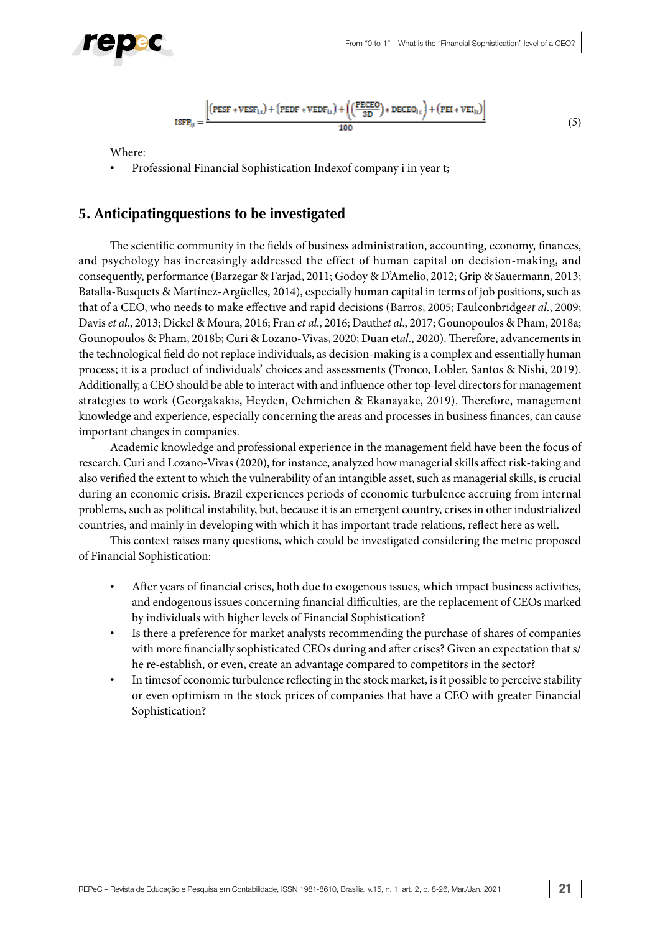

$$
ISFP_{1x} = \frac{\left[\left(PEST*VEST_{1x}\right) + \left(PEDF*VEDF_{1x}\right) + \left(\left(\frac{PECEO}{3D}\right)*DECEO_{1x}\right) + \left(PEI*VEI_{1x}\right)\right]}{100} \tag{5}
$$

Where:

• Professional Financial Sophistication Indexof company i in year t;

## **5. Anticipatingquestions to be investigated**

The scientific community in the fields of business administration, accounting, economy, finances, and psychology has increasingly addressed the effect of human capital on decision-making, and consequently, performance (Barzegar & Farjad, 2011; Godoy & D'Amelio, 2012; Grip & Sauermann, 2013; Batalla-Busquets & Martínez-Argüelles, 2014), especially human capital in terms of job positions, such as that of a CEO, who needs to make effective and rapid decisions (Barros, 2005; Faulconbridge*et al*., 2009; Davis *et al*., 2013; Dickel & Moura, 2016; Fran *et al*., 2016; Dauth*et al*., 2017; Gounopoulos & Pham, 2018a; Gounopoulos & Pham, 2018b; Curi & Lozano-Vivas, 2020; Duan et*al*., 2020). Therefore, advancements in the technological field do not replace individuals, as decision-making is a complex and essentially human process; it is a product of individuals' choices and assessments (Tronco, Lobler, Santos & Nishi, 2019). Additionally, a CEO should be able to interact with and influence other top-level directors for management strategies to work (Georgakakis, Heyden, Oehmichen & Ekanayake, 2019). Therefore, management knowledge and experience, especially concerning the areas and processes in business finances, can cause important changes in companies.

Academic knowledge and professional experience in the management field have been the focus of research. Curi and Lozano-Vivas (2020), for instance, analyzed how managerial skills affect risk-taking and also verified the extent to which the vulnerability of an intangible asset, such as managerial skills, is crucial during an economic crisis. Brazil experiences periods of economic turbulence accruing from internal problems, such as political instability, but, because it is an emergent country, crises in other industrialized countries, and mainly in developing with which it has important trade relations, reflect here as well.

This context raises many questions, which could be investigated considering the metric proposed of Financial Sophistication:

- After years of financial crises, both due to exogenous issues, which impact business activities, and endogenous issues concerning financial difficulties, are the replacement of CEOs marked by individuals with higher levels of Financial Sophistication?
- Is there a preference for market analysts recommending the purchase of shares of companies with more financially sophisticated CEOs during and after crises? Given an expectation that s/ he re-establish, or even, create an advantage compared to competitors in the sector?
- In timesof economic turbulence reflecting in the stock market, is it possible to perceive stability or even optimism in the stock prices of companies that have a CEO with greater Financial Sophistication?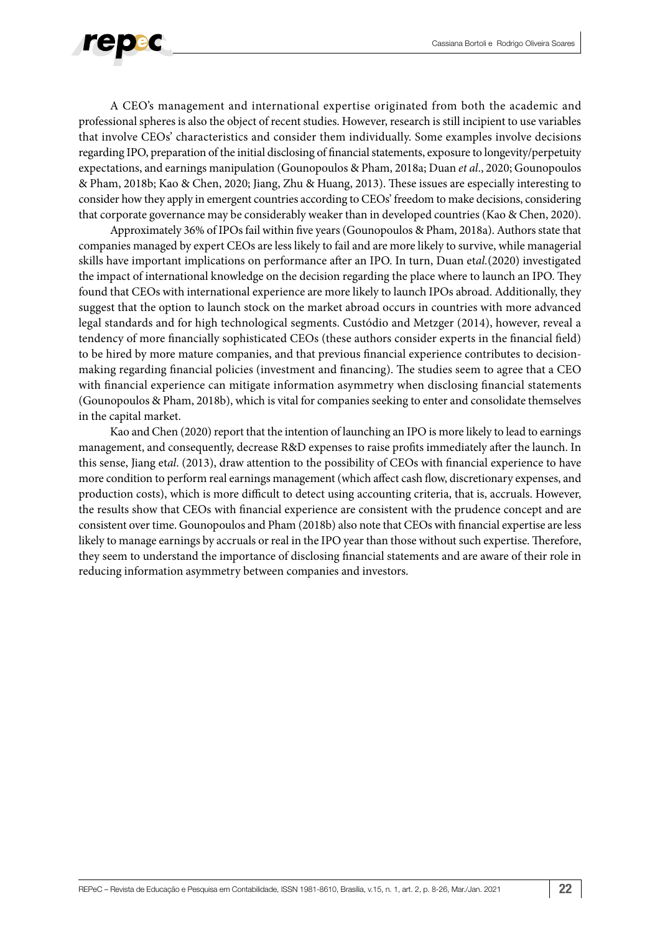

A CEO's management and international expertise originated from both the academic and professional spheres is also the object of recent studies. However, research is still incipient to use variables that involve CEOs' characteristics and consider them individually. Some examples involve decisions regarding IPO, preparation of the initial disclosing of financial statements, exposure to longevity/perpetuity expectations, and earnings manipulation (Gounopoulos & Pham, 2018a; Duan *et al*., 2020; Gounopoulos & Pham, 2018b; Kao & Chen, 2020; Jiang, Zhu & Huang, 2013). These issues are especially interesting to consider how they apply in emergent countries according to CEOs' freedom to make decisions, considering that corporate governance may be considerably weaker than in developed countries (Kao & Chen, 2020).

Approximately 36% of IPOs fail within five years (Gounopoulos & Pham, 2018a). Authors state that companies managed by expert CEOs are less likely to fail and are more likely to survive, while managerial skills have important implications on performance after an IPO. In turn, Duan et*al.*(2020) investigated the impact of international knowledge on the decision regarding the place where to launch an IPO. They found that CEOs with international experience are more likely to launch IPOs abroad. Additionally, they suggest that the option to launch stock on the market abroad occurs in countries with more advanced legal standards and for high technological segments. Custódio and Metzger (2014), however, reveal a tendency of more financially sophisticated CEOs (these authors consider experts in the financial field) to be hired by more mature companies, and that previous financial experience contributes to decisionmaking regarding financial policies (investment and financing). The studies seem to agree that a CEO with financial experience can mitigate information asymmetry when disclosing financial statements (Gounopoulos & Pham, 2018b), which is vital for companies seeking to enter and consolidate themselves in the capital market.

Kao and Chen (2020) report that the intention of launching an IPO is more likely to lead to earnings management, and consequently, decrease R&D expenses to raise profits immediately after the launch. In this sense, Jiang et*al*. (2013), draw attention to the possibility of CEOs with financial experience to have more condition to perform real earnings management (which affect cash flow, discretionary expenses, and production costs), which is more difficult to detect using accounting criteria, that is, accruals. However, the results show that CEOs with financial experience are consistent with the prudence concept and are consistent over time. Gounopoulos and Pham (2018b) also note that CEOs with financial expertise are less likely to manage earnings by accruals or real in the IPO year than those without such expertise. Therefore, they seem to understand the importance of disclosing financial statements and are aware of their role in reducing information asymmetry between companies and investors.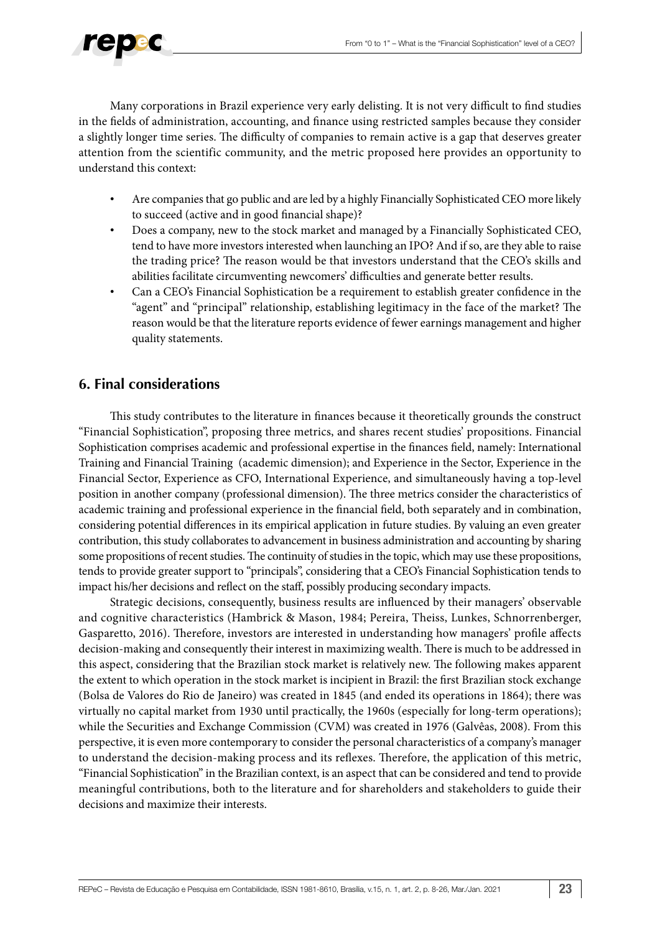

Many corporations in Brazil experience very early delisting. It is not very difficult to find studies in the fields of administration, accounting, and finance using restricted samples because they consider a slightly longer time series. The difficulty of companies to remain active is a gap that deserves greater attention from the scientific community, and the metric proposed here provides an opportunity to understand this context:

- Are companies that go public and are led by a highly Financially Sophisticated CEO more likely to succeed (active and in good financial shape)?
- Does a company, new to the stock market and managed by a Financially Sophisticated CEO, tend to have more investors interested when launching an IPO? And if so, are they able to raise the trading price? The reason would be that investors understand that the CEO's skills and abilities facilitate circumventing newcomers' difficulties and generate better results.
- Can a CEO's Financial Sophistication be a requirement to establish greater confidence in the "agent" and "principal" relationship, establishing legitimacy in the face of the market? The reason would be that the literature reports evidence of fewer earnings management and higher quality statements.

## **6. Final considerations**

This study contributes to the literature in finances because it theoretically grounds the construct "Financial Sophistication", proposing three metrics, and shares recent studies' propositions. Financial Sophistication comprises academic and professional expertise in the finances field, namely: International Training and Financial Training (academic dimension); and Experience in the Sector, Experience in the Financial Sector, Experience as CFO, International Experience, and simultaneously having a top-level position in another company (professional dimension). The three metrics consider the characteristics of academic training and professional experience in the financial field, both separately and in combination, considering potential differences in its empirical application in future studies. By valuing an even greater contribution, this study collaborates to advancement in business administration and accounting by sharing some propositions of recent studies. The continuity of studies in the topic, which may use these propositions, tends to provide greater support to "principals", considering that a CEO's Financial Sophistication tends to impact his/her decisions and reflect on the staff, possibly producing secondary impacts.

Strategic decisions, consequently, business results are influenced by their managers' observable and cognitive characteristics (Hambrick & Mason, 1984; Pereira, Theiss, Lunkes, Schnorrenberger, Gasparetto, 2016). Therefore, investors are interested in understanding how managers' profile affects decision-making and consequently their interest in maximizing wealth. There is much to be addressed in this aspect, considering that the Brazilian stock market is relatively new. The following makes apparent the extent to which operation in the stock market is incipient in Brazil: the first Brazilian stock exchange (Bolsa de Valores do Rio de Janeiro) was created in 1845 (and ended its operations in 1864); there was virtually no capital market from 1930 until practically, the 1960s (especially for long-term operations); while the Securities and Exchange Commission (CVM) was created in 1976 (Galvêas, 2008). From this perspective, it is even more contemporary to consider the personal characteristics of a company's manager to understand the decision-making process and its reflexes. Therefore, the application of this metric, "Financial Sophistication" in the Brazilian context, is an aspect that can be considered and tend to provide meaningful contributions, both to the literature and for shareholders and stakeholders to guide their decisions and maximize their interests.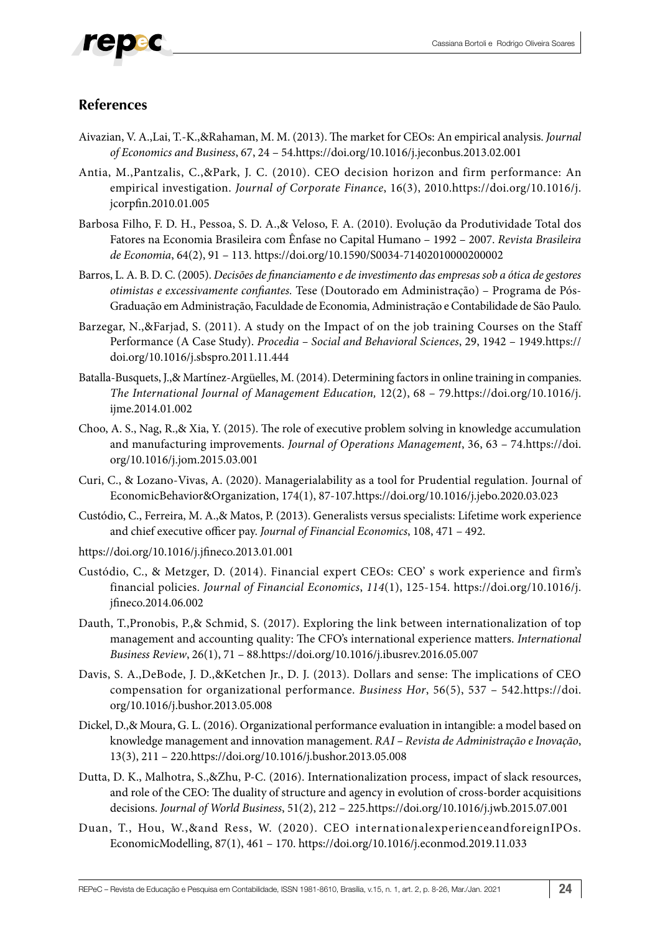

### **References**

- Aivazian, V. A.,Lai, T.-K.,&Rahaman, M. M. (2013). The market for CEOs: An empirical analysis. *Journal of Economics and Business*, 67, 24 – 54.<https://doi.org/10.1016/j.jeconbus.2013.02.001>
- Antia, M.,Pantzalis, C.,&Park, J. C. (2010). CEO decision horizon and firm performance: An empirical investigation. *Journal of Corporate Finance*, 16(3), 2010.[https://doi.org/10.1016/j.](https://doi.org/10.1016/j.jcorpfin.2010.01.005) [jcorpfin.2010.01.005](https://doi.org/10.1016/j.jcorpfin.2010.01.005)
- Barbosa Filho, F. D. H., Pessoa, S. D. A.,& Veloso, F. A. (2010). Evolução da Produtividade Total dos Fatores na Economia Brasileira com Ênfase no Capital Humano – 1992 – 2007. *Revista Brasileira de Economia*, 64(2), 91 – 113.<https://doi.org/10.1590/S0034-71402010000200002>
- Barros, L. A. B. D. C. (2005). *Decisões de financiamento e de investimento das empresas sob a ótica de gestores otimistas e excessivamente confiantes.* Tese (Doutorado em Administração) – Programa de Pós-Graduação em Administração, Faculdade de Economia, Administração e Contabilidade de São Paulo.
- Barzegar, N.,&Farjad, S. (2011). A study on the Impact of on the job training Courses on the Staff Performance (A Case Study). *Procedia – Social and Behavioral Sciences*, 29, 1942 – 1949[.https://](https://doi.org/10.1016/j.sbspro.2011.11.444) [doi.org/10.1016/j.sbspro.2011.11.444](https://doi.org/10.1016/j.sbspro.2011.11.444)
- Batalla-Busquets, J.,& Martínez-Argüelles, M. (2014). Determining factors in online training in companies. *The International Journal of Management Education,* 12(2), 68 – 79.[https://doi.org/10.1016/j.](https://doi.org/10.1016/j.ijme.2014.01.002) [ijme.2014.01.002](https://doi.org/10.1016/j.ijme.2014.01.002)
- Choo, A. S., Nag, R.,& Xia, Y. (2015). The role of executive problem solving in knowledge accumulation and manufacturing improvements. *Journal of Operations Management*, 36, 63 – 74[.https://doi.](https://doi.org/10.1016/j.jom.2015.03.001) [org/10.1016/j.jom.2015.03.001](https://doi.org/10.1016/j.jom.2015.03.001)
- Curi, C., & Lozano-Vivas, A. (2020). Managerialability as a tool for Prudential regulation. Journal of EconomicBehavior&Organization, 174(1), 87-107[.https://doi.org/10.1016/j.jebo.2020.03.023](https://doi.org/10.1016/j.jebo.2020.03.023)
- Custódio, C., Ferreira, M. A.,& Matos, P. (2013). Generalists versus specialists: Lifetime work experience and chief executive officer pay. *Journal of Financial Economics*, 108, 471 – 492.
- https://doi.org/10.1016/j.jfineco.2013.01.001
- Custódio, C., & Metzger, D. (2014). Financial expert CEOs: CEO' s work experience and firm's financial policies. *Journal of Financial Economics*, *114*(1), 125-154. [https://doi.org/10.1016/j.](https://doi.org/10.1016/j.jfineco.2014.06.002) [jfineco.2014.06.002](https://doi.org/10.1016/j.jfineco.2014.06.002)
- Dauth, T.,Pronobis, P.,& Schmid, S. (2017). Exploring the link between internationalization of top management and accounting quality: The CFO's international experience matters. *International Business Review*, 26(1), 71 – 88.<https://doi.org/10.1016/j.ibusrev.2016.05.007>
- Davis, S. A.,DeBode, J. D.,&Ketchen Jr., D. J. (2013). Dollars and sense: The implications of CEO compensation for organizational performance. *Business Hor*, 56(5), 537 – 542.[https://doi.](https://doi.org/10.1016/j.bushor.2013.05.008) [org/10.1016/j.bushor.2013.05.008](https://doi.org/10.1016/j.bushor.2013.05.008)
- Dickel, D.,& Moura, G. L. (2016). Organizational performance evaluation in intangible: a model based on knowledge management and innovation management. *RAI – Revista de Administração e Inovação*, 13(3), 211 – 220[.https://doi.org/10.1016/j.bushor.2013.05.008](https://doi.org/10.1016/j.bushor.2013.05.008)
- Dutta, D. K., Malhotra, S.,&Zhu, P-C. (2016). Internationalization process, impact of slack resources, and role of the CEO: The duality of structure and agency in evolution of cross-border acquisitions decisions. *Journal of World Business*, 51(2), 212 – 225[.https://doi.org/10.1016/j.jwb.2015.07.001](https://doi.org/10.1016/j.jwb.2015.07.001)
- Duan, T., Hou, W.,&and Ress, W. (2020). CEO internationalexperienceandforeignIPOs. EconomicModelling, 87(1), 461 – 170.<https://doi.org/10.1016/j.econmod.2019.11.033>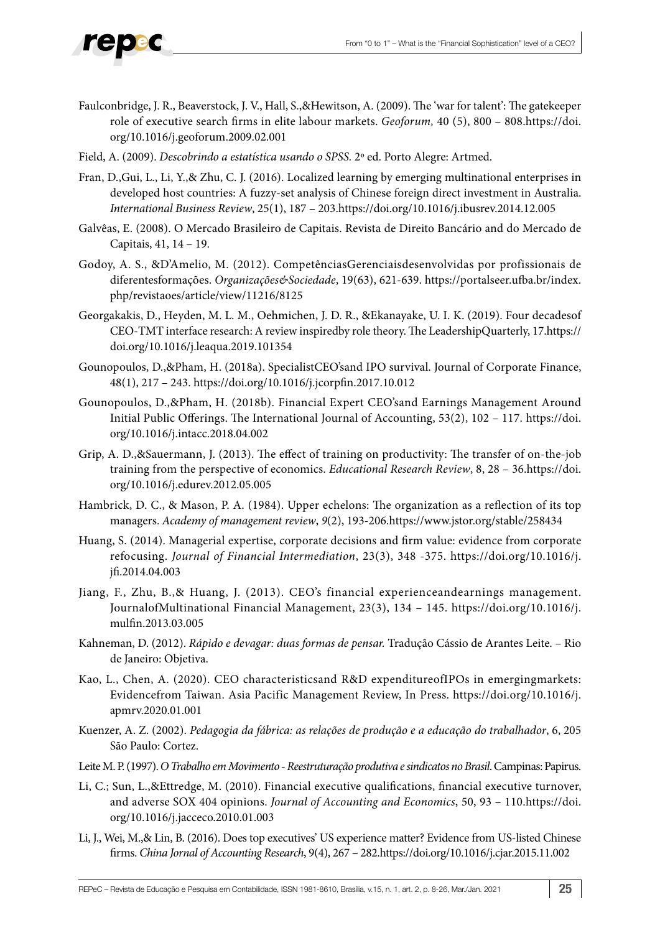

- Faulconbridge, J. R., Beaverstock, J. V., Hall, S.,&Hewitson, A. (2009). The 'war for talent': The gatekeeper role of executive search firms in elite labour markets. *Geoforum,* 40 (5), 800 – 808[.https://doi.](https://doi.org/10.1016/j.geoforum.2009.02.001) [org/10.1016/j.geoforum.2009.02.001](https://doi.org/10.1016/j.geoforum.2009.02.001)
- Field, A. (2009). *Descobrindo a estatística usando o SPSS.* 2º ed. Porto Alegre: Artmed.
- Fran, D.,Gui, L., Li, Y.,& Zhu, C. J. (2016). Localized learning by emerging multinational enterprises in developed host countries: A fuzzy-set analysis of Chinese foreign direct investment in Australia. *International Business Review*, 25(1), 187 – 203[.https://doi.org/10.1016/j.ibusrev.2014.12.005](https://doi.org/10.1016/j.ibusrev.2014.12.005)
- Galvêas, E. (2008). O Mercado Brasileiro de Capitais. Revista de Direito Bancário and do Mercado de Capitais, 41, 14 – 19.
- Godoy, A. S., &D'Amelio, M. (2012). CompetênciasGerenciaisdesenvolvidas por profissionais de diferentesformações. *Organizações&Sociedade*, 19(63), 621-639. https://portalseer.ufba.br/index. php/revistaoes/article/view/11216/8125
- Georgakakis, D., Heyden, M. L. M., Oehmichen, J. D. R., &Ekanayake, U. I. K. (2019). Four decadesof CEO-TMT interface research: A review inspiredby role theory. The LeadershipQuarterly, 17[.https://](https://doi.org/10.1016/j.leaqua.2019.101354) [doi.org/10.1016/j.leaqua.2019.101354](https://doi.org/10.1016/j.leaqua.2019.101354)
- Gounopoulos, D.,&Pham, H. (2018a). SpecialistCEO'sand IPO survival. Journal of Corporate Finance, 48(1), 217 – 243. <https://doi.org/10.1016/j.jcorpfin.2017.10.012>
- Gounopoulos, D.,&Pham, H. (2018b). Financial Expert CEO'sand Earnings Management Around Initial Public Offerings. The International Journal of Accounting, 53(2), 102 – 117. [https://doi.](https://doi.org/10.1016/j.intacc.2018.04.002) [org/10.1016/j.intacc.2018.04.002](https://doi.org/10.1016/j.intacc.2018.04.002)
- Grip, A. D.,&Sauermann, J. (2013). The effect of training on productivity: The transfer of on-the-job training from the perspective of economics. *Educational Research Review*, 8, 28 – 36[.https://doi.](https://translate.googleusercontent.com/translate_c?depth=1&hl=pt-BR&prev=search&pto=aue&rurl=translate.google.com&sl=en&sp=nmt4&u=https://doi.org/10.1016/j.edurev.2012.05.005&usg=ALkJrhhFdxkBKMCKDhasTnOB4wIABiIjFA) [org/10.1016/j.edurev.2012.05.005](https://translate.googleusercontent.com/translate_c?depth=1&hl=pt-BR&prev=search&pto=aue&rurl=translate.google.com&sl=en&sp=nmt4&u=https://doi.org/10.1016/j.edurev.2012.05.005&usg=ALkJrhhFdxkBKMCKDhasTnOB4wIABiIjFA)
- Hambrick, D. C., & Mason, P. A. (1984). Upper echelons: The organization as a reflection of its top managers. *Academy of management review*, *9*(2), 193-206.https://www.jstor.org/stable/258434
- Huang, S. (2014). Managerial expertise, corporate decisions and firm value: evidence from corporate refocusing. *Journal of Financial Intermediation*, 23(3), 348 -375. [https://doi.org/10.1016/j.](https://doi.org/10.1016/j.jfi.2014.04.003) [jfi.2014.04.003](https://doi.org/10.1016/j.jfi.2014.04.003)
- Jiang, F., Zhu, B.,& Huang, J. (2013). CEO's financial experienceandearnings management. JournalofMultinational Financial Management, 23(3), 134 – 145. [https://doi.org/10.1016/j.](https://doi.org/10.1016/j.mulfin.2013.03.005) [mulfin.2013.03.005](https://doi.org/10.1016/j.mulfin.2013.03.005)
- Kahneman, D. (2012). *Rápido e devagar: duas formas de pensar.* Tradução Cássio de Arantes Leite. Rio de Janeiro: Objetiva.
- Kao, L., Chen, A. (2020). CEO characteristicsand R&D expenditureofIPOs in emergingmarkets: Evidencefrom Taiwan. Asia Pacific Management Review, In Press. [https://doi.org/10.1016/j.](https://doi.org/10.1016/j.apmrv.2020.01.001) [apmrv.2020.01.001](https://doi.org/10.1016/j.apmrv.2020.01.001)
- Kuenzer, A. Z. (2002). *Pedagogia da fábrica: as relações de produção e a educação do trabalhador*, 6, 205 São Paulo: Cortez.
- Leite M. P. (1997). *O Trabalho em Movimento Reestruturação produtiva e sindicatos no Brasil*. Campinas: Papirus.
- Li, C.; Sun, L.,&Ettredge, M. (2010). Financial executive qualifications, financial executive turnover, and adverse SOX 404 opinions. *Journal of Accounting and Economics*, 50, 93 – 110[.https://doi.](https://doi.org/10.1016/j.jacceco.2010.01.003) [org/10.1016/j.jacceco.2010.01.003](https://doi.org/10.1016/j.jacceco.2010.01.003)
- Li, J., Wei, M.,& Lin, B. (2016). Does top executives' US experience matter? Evidence from US-listed Chinese firms. *China Jornal of Accounting Research*, 9(4), 267 – 282.<https://doi.org/10.1016/j.cjar.2015.11.002>